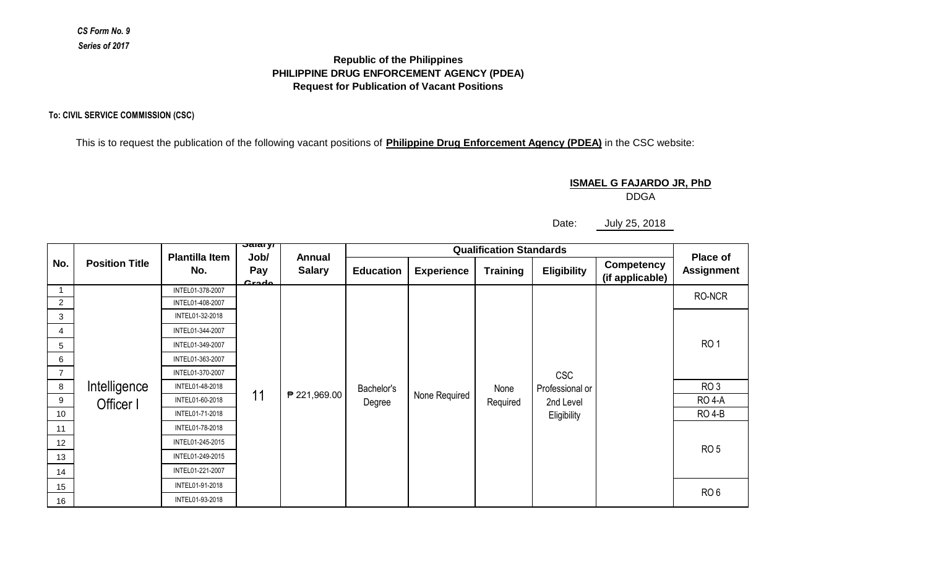## *CS Form No. 9 Series of 2017*

## **Request for Publication of Vacant Positions Republic of the Philippines PHILIPPINE DRUG ENFORCEMENT AGENCY (PDEA)**

**To: CIVIL SERVICE COMMISSION (CSC)**

This is to request the publication of the following vacant positions of **Philippine Drug Enforcement Agency (PDEA)** in the CSC website:

## **ISMAEL G FAJARDO JR, PhD**

DDGA

Date: July 25, 2018

| No.            | <b>Position Title</b>     |                              | <del>Jalal yr</del><br>Job/<br>Pay<br>Crodo | Annual<br><b>Salary</b> |                      |                   |                  |                                                           |                                      |                               |
|----------------|---------------------------|------------------------------|---------------------------------------------|-------------------------|----------------------|-------------------|------------------|-----------------------------------------------------------|--------------------------------------|-------------------------------|
|                |                           | <b>Plantilla Item</b><br>No. |                                             |                         | <b>Education</b>     | <b>Experience</b> | <b>Training</b>  | <b>Eligibility</b>                                        | <b>Competency</b><br>(if applicable) | Place of<br><b>Assignment</b> |
|                | Intelligence<br>Officer I | INTEL01-378-2007             | 11                                          | ₱ 221,969.00            | Bachelor's<br>Degree | None Required     | None<br>Required | <b>CSC</b><br>Professional or<br>2nd Level<br>Eligibility |                                      | RO-NCR                        |
| $\overline{2}$ |                           | INTEL01-408-2007             |                                             |                         |                      |                   |                  |                                                           |                                      |                               |
| 3              |                           | INTEL01-32-2018              |                                             |                         |                      |                   |                  |                                                           |                                      |                               |
| 4              |                           | INTEL01-344-2007             |                                             |                         |                      |                   |                  |                                                           |                                      |                               |
| 5              |                           | INTEL01-349-2007             |                                             |                         |                      |                   |                  |                                                           |                                      | RO <sub>1</sub>               |
| 6              |                           | INTEL01-363-2007             |                                             |                         |                      |                   |                  |                                                           |                                      |                               |
| $\overline{7}$ |                           | INTEL01-370-2007             |                                             |                         |                      |                   |                  |                                                           |                                      |                               |
| 8              |                           | INTEL01-48-2018              |                                             |                         |                      |                   |                  |                                                           |                                      | RO <sub>3</sub>               |
| 9              |                           | INTEL01-60-2018              |                                             |                         |                      |                   |                  |                                                           |                                      | <b>RO 4-A</b>                 |
| 10             |                           | INTEL01-71-2018              |                                             |                         |                      |                   |                  |                                                           |                                      | <b>RO 4-B</b>                 |
| 11             |                           | INTEL01-78-2018              |                                             |                         |                      |                   |                  |                                                           |                                      |                               |
| 12             |                           | INTEL01-245-2015             |                                             |                         |                      |                   |                  |                                                           |                                      | RO <sub>5</sub>               |
| 13             |                           | INTEL01-249-2015             |                                             |                         |                      |                   |                  |                                                           |                                      |                               |
| 14             |                           | INTEL01-221-2007             |                                             |                         |                      |                   |                  |                                                           |                                      |                               |
| 15             |                           | INTEL01-91-2018              |                                             |                         |                      |                   |                  |                                                           |                                      | RO <sub>6</sub>               |
| 16             |                           | INTEL01-93-2018              |                                             |                         |                      |                   |                  |                                                           |                                      |                               |